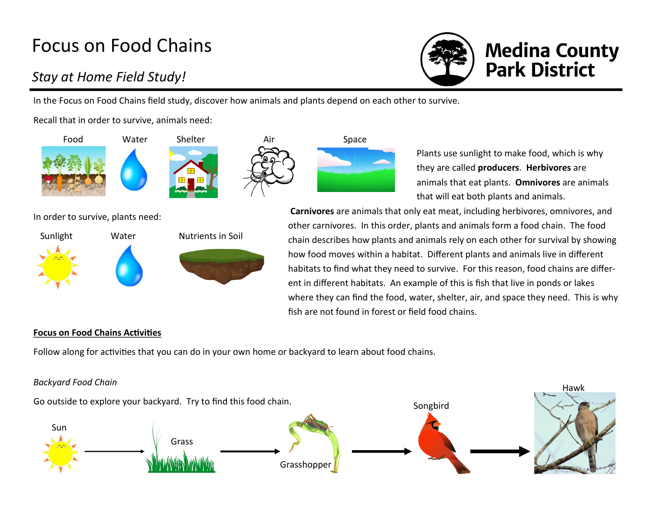# Focus on Food Chains

## *Stay at Home Field Study!*

In the Focus on Food Chains field study, discover how animals and plants depend on each other to survive.

Recall that in order to survive, animals need:





In order to survive, plants need:



they are called **producers**. **Herbivores** are animals that eat plants. **Omnivores** are animals that will eat both plants and animals. **Carnivores** are animals that only eat meat, including herbivores, omnivores, and

Plants use sunlight to make food, which is why

**Medina County<br>Park District** 

other carnivores. In this order, plants and animals form a food chain. The food chain describes how plants and animals rely on each other for survival by showing how food moves within a habitat. Different plants and animals live in different habitats to find what they need to survive. For this reason, food chains are different in different habitats. An example of this is fish that live in ponds or lakes where they can find the food, water, shelter, air, and space they need. This is why fish are not found in forest or field food chains.

### **Focus on Food Chains Activities**

Follow along for activities that you can do in your own home or backyard to learn about food chains.

#### *Backyard Food Chain*